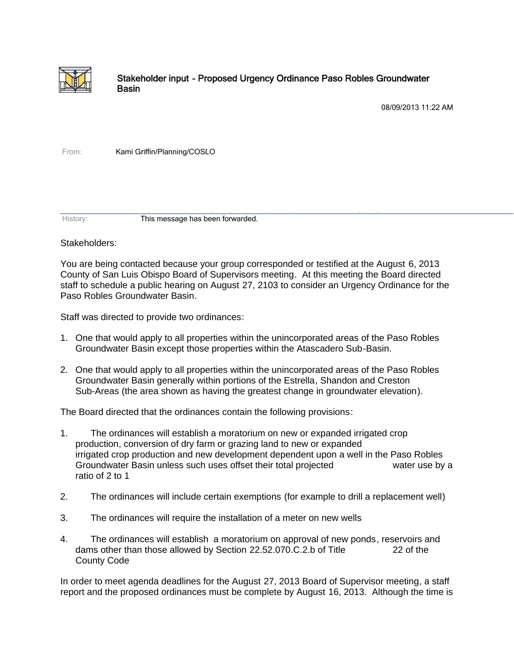

## Stakeholder input - Proposed Urgency Ordinance Paso Robles Groundwater Basin

08/09/2013 11:22 AM

From: Kami Griffin/Planning/COSLO

History: This message has been forwarded.

## Stakeholders:

You are being contacted because your group corresponded or testified at the August 6, 2013 County of San Luis Obispo Board of Supervisors meeting. At this meeting the Board directed staff to schedule a public hearing on August 27, 2103 to consider an Urgency Ordinance for the Paso Robles Groundwater Basin.

Staff was directed to provide two ordinances:

- 1. One that would apply to all properties within the unincorporated areas of the Paso Robles Groundwater Basin except those properties within the Atascadero Sub-Basin.
- 2. One that would apply to all properties within the unincorporated areas of the Paso Robles Groundwater Basin generally within portions of the Estrella, Shandon and Creston Sub-Areas (the area shown as having the greatest change in groundwater elevation).

The Board directed that the ordinances contain the following provisions:

- 1. The ordinances will establish a moratorium on new or expanded irrigated crop production, conversion of dry farm or grazing land to new or expanded irrigated crop production and new development dependent upon a well in the Paso Robles Groundwater Basin unless such uses offset their total projected water use by a ratio of 2 to 1
- 2. The ordinances will include certain exemptions (for example to drill a replacement well)
- 3. The ordinances will require the installation of a meter on new wells
- 4. The ordinances will establish a moratorium on approval of new ponds, reservoirs and dams other than those allowed by Section 22.52.070.C.2.b of Title 22 of the County Code

In order to meet agenda deadlines for the August 27, 2013 Board of Supervisor meeting, a staff report and the proposed ordinances must be complete by August 16, 2013. Although the time is